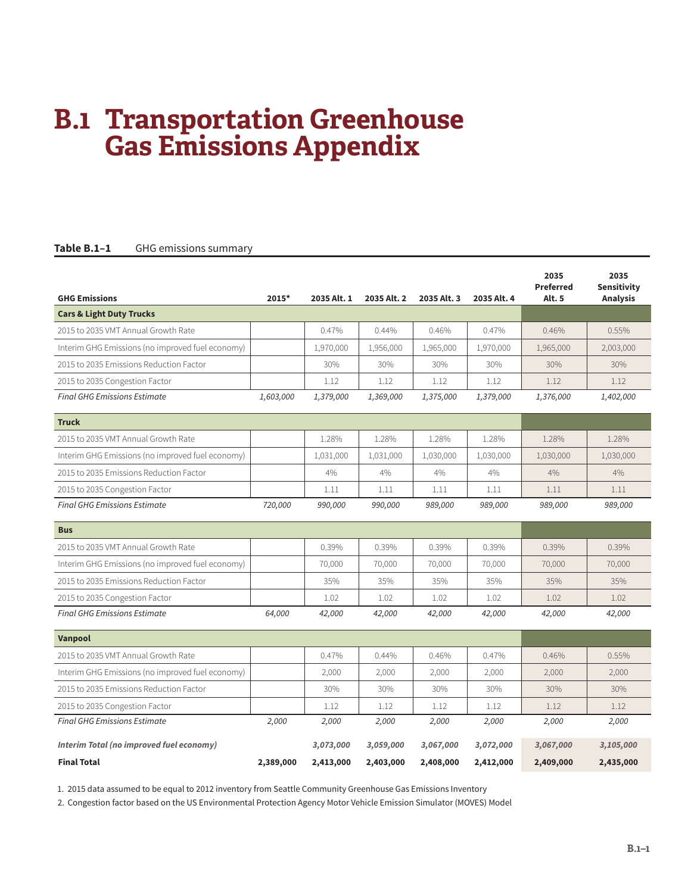# **B.1 Transportation Greenhouse Gas Emissions Appendix**

#### Table B.1-1 GHG emissions summary

| <b>GHG Emissions</b>                             | 2015*     | 2035 Alt. 1 | 2035 Alt. 2 | 2035 Alt. 3 | 2035 Alt. 4 | 2035<br><b>Preferred</b><br><b>Alt. 5</b> | 2035<br>Sensitivity<br><b>Analysis</b> |
|--------------------------------------------------|-----------|-------------|-------------|-------------|-------------|-------------------------------------------|----------------------------------------|
| <b>Cars &amp; Light Duty Trucks</b>              |           |             |             |             |             |                                           |                                        |
| 2015 to 2035 VMT Annual Growth Rate              |           | 0.47%       | 0.44%       | 0.46%       | 0.47%       | 0.46%                                     | 0.55%                                  |
| Interim GHG Emissions (no improved fuel economy) |           | 1,970,000   | 1,956,000   | 1,965,000   | 1,970,000   | 1,965,000                                 | 2,003,000                              |
| 2015 to 2035 Emissions Reduction Factor          |           | 30%         | 30%         | 30%         | 30%         | 30%                                       | 30%                                    |
| 2015 to 2035 Congestion Factor                   |           | 1.12        | 1.12        | 1.12        | 1.12        | 1.12                                      | 1.12                                   |
| <b>Final GHG Emissions Estimate</b>              | 1,603,000 | 1,379,000   | 1,369,000   | 1,375,000   | 1,379,000   | 1,376,000                                 | 1,402,000                              |
| <b>Truck</b>                                     |           |             |             |             |             |                                           |                                        |
| 2015 to 2035 VMT Annual Growth Rate              |           | 1.28%       | 1.28%       | 1.28%       | 1.28%       | 1.28%                                     | 1.28%                                  |
| Interim GHG Emissions (no improved fuel economy) |           | 1,031,000   | 1,031,000   | 1,030,000   | 1,030,000   | 1,030,000                                 | 1,030,000                              |
| 2015 to 2035 Emissions Reduction Factor          |           | 4%          | 4%          | 4%          | 4%          | 4%                                        | 4%                                     |
| 2015 to 2035 Congestion Factor                   |           | 1.11        | 1.11        | 1.11        | 1.11        | 1.11                                      | 1.11                                   |
| <b>Final GHG Emissions Estimate</b>              | 720,000   | 990,000     | 990,000     | 989,000     | 989,000     | 989,000                                   | 989,000                                |
| <b>Bus</b>                                       |           |             |             |             |             |                                           |                                        |
| 2015 to 2035 VMT Annual Growth Rate              |           | 0.39%       | 0.39%       | 0.39%       | 0.39%       | 0.39%                                     | 0.39%                                  |
| Interim GHG Emissions (no improved fuel economy) |           | 70,000      | 70,000      | 70,000      | 70,000      | 70,000                                    | 70,000                                 |
| 2015 to 2035 Emissions Reduction Factor          |           | 35%         | 35%         | 35%         | 35%         | 35%                                       | 35%                                    |
| 2015 to 2035 Congestion Factor                   |           | 1.02        | 1.02        | 1.02        | 1.02        | 1.02                                      | 1.02                                   |
| <b>Final GHG Emissions Estimate</b>              | 64,000    | 42,000      | 42,000      | 42,000      | 42,000      | 42,000                                    | 42,000                                 |
| Vanpool                                          |           |             |             |             |             |                                           |                                        |
| 2015 to 2035 VMT Annual Growth Rate              |           | 0.47%       | $0.44\%$    | 0.46%       | 0.47%       | 0.46%                                     | $0.55\%$                               |
| Interim GHG Emissions (no improved fuel economy) |           | 2,000       | 2,000       | 2,000       | 2,000       | 2,000                                     | 2,000                                  |
| 2015 to 2035 Emissions Reduction Factor          |           | 30%         | 30%         | 30%         | 30%         | 30%                                       | 30%                                    |
| 2015 to 2035 Congestion Factor                   |           | 1.12        | 1.12        | 1.12        | 1.12        | 1.12                                      | 1.12                                   |
| <b>Final GHG Emissions Estimate</b>              | 2,000     | 2,000       | 2,000       | 2,000       | 2,000       | 2,000                                     | 2,000                                  |
| Interim Total (no improved fuel economy)         |           | 3,073,000   | 3,059,000   | 3,067,000   | 3,072,000   | 3,067,000                                 | 3,105,000                              |
| <b>Final Total</b>                               | 2,389,000 | 2,413,000   | 2,403,000   | 2,408,000   | 2,412,000   | 2,409,000                                 | 2,435,000                              |

1. 2015 data assumed to be equal to 2012 inventory from Seattle Community Greenhouse Gas Emissions Inventory

2. Congestion factor based on the US Environmental Protection Agency Motor Vehicle Emission Simulator (MOVES) Model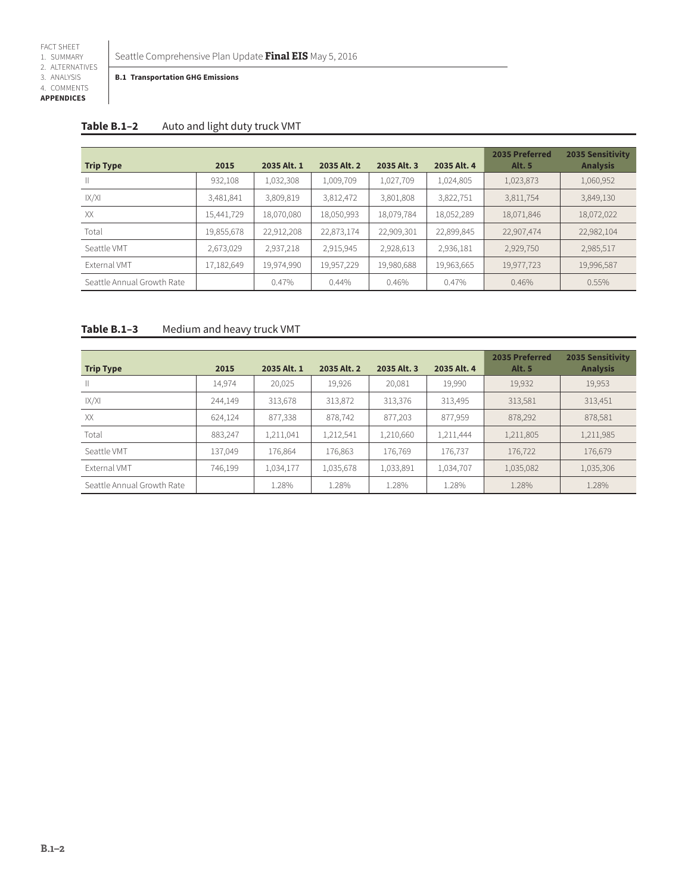Seattle Comprehensive Plan Update **Final EIS** May 5, 2016

**B.1 Transportation GHG Emissions**

| 4. COMMENTS       |
|-------------------|
| <b>APPENDICES</b> |

**Table B.1–2** Auto and light duty truck VMT

|                            |            |             |             |             |             | 2035 Preferred | <b>2035 Sensitivity</b> |
|----------------------------|------------|-------------|-------------|-------------|-------------|----------------|-------------------------|
| <b>Trip Type</b>           | 2015       | 2035 Alt. 1 | 2035 Alt. 2 | 2035 Alt. 3 | 2035 Alt. 4 | <b>Alt. 5</b>  | <b>Analysis</b>         |
|                            | 932,108    | 1,032,308   | 1,009,709   | 1,027,709   | 1,024,805   | 1,023,873      | 1,060,952               |
| X/X                        | 3,481,841  | 3,809,819   | 3,812,472   | 3,801,808   | 3,822,751   | 3,811,754      | 3,849,130               |
| XX                         | 15,441,729 | 18,070,080  | 18,050,993  | 18,079,784  | 18,052,289  | 18,071,846     | 18,072,022              |
| Total                      | 19,855,678 | 22,912,208  | 22,873,174  | 22,909,301  | 22,899,845  | 22,907,474     | 22,982,104              |
| Seattle VMT                | 2,673,029  | 2,937,218   | 2,915,945   | 2,928,613   | 2,936,181   | 2,929,750      | 2,985,517               |
| External VMT               | 17,182,649 | 19,974,990  | 19,957,229  | 19,980,688  | 19,963,665  | 19,977,723     | 19,996,587              |
| Seattle Annual Growth Rate |            | 0.47%       | 0.44%       | 0.46%       | 0.47%       | 0.46%          | 0.55%                   |

# **Table B.1–3** Medium and heavy truck VMT

| <b>Trip Type</b>           | 2015    | 2035 Alt. 1 | 2035 Alt. 2 | 2035 Alt. 3 | 2035 Alt. 4 | 2035 Preferred<br><b>Alt. 5</b> | <b>2035 Sensitivity</b><br><b>Analysis</b> |
|----------------------------|---------|-------------|-------------|-------------|-------------|---------------------------------|--------------------------------------------|
| $\mathbb{H}$               | 14.974  | 20,025      | 19,926      | 20,081      | 19,990      | 19,932                          | 19,953                                     |
| X/X                        | 244,149 | 313,678     | 313,872     | 313,376     | 313,495     | 313,581                         | 313,451                                    |
| XX                         | 624,124 | 877,338     | 878,742     | 877,203     | 877,959     | 878,292                         | 878,581                                    |
| Total                      | 883.247 | 1,211,041   | 1,212,541   | 1,210,660   | 1,211,444   | 1,211,805                       | 1,211,985                                  |
| Seattle VMT                | 137.049 | 176,864     | 176,863     | 176,769     | 176.737     | 176,722                         | 176,679                                    |
| <b>External VMT</b>        | 746,199 | 1,034,177   | 1,035,678   | 1,033,891   | 1,034,707   | 1,035,082                       | 1,035,306                                  |
| Seattle Annual Growth Rate |         | 1.28%       | 1.28%       | 1.28%       | 1.28%       | 1.28%                           | 1.28%                                      |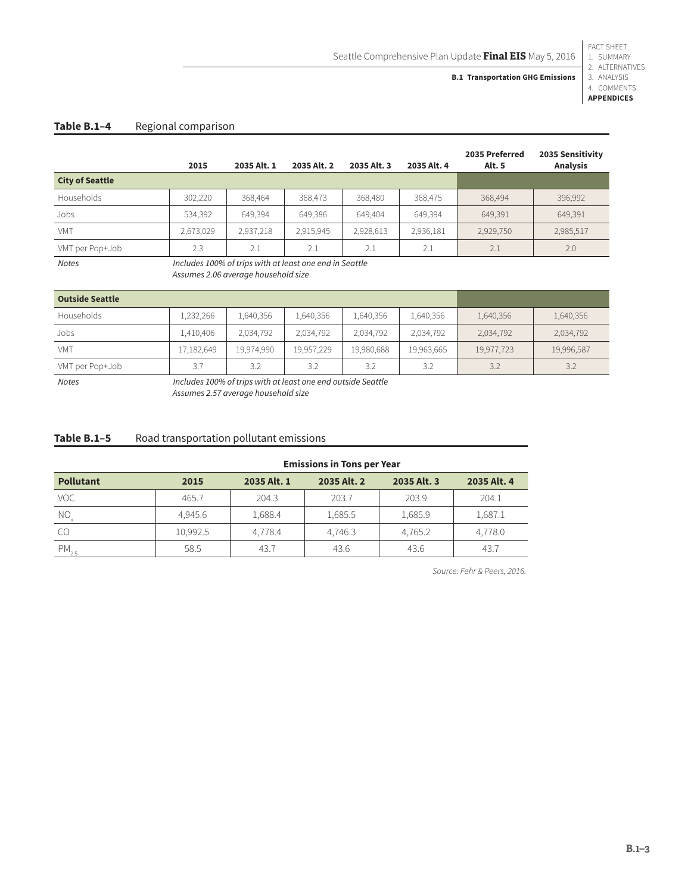### **B.1 Transportation GHG Emissions**

1. SUMMARY 2. ALTERNATIVES 3. ANALYSIS 4. COMMENTS

FACT SHEET

**APPENDICES**

## Table B.1-4 Regional comparison

|                                                                         | 2015      | 2035 Alt. 1 | 2035 Alt. 2 | 2035 Alt. 3 | 2035 Alt. 4 | 2035 Preferred<br><b>Alt. 5</b> | 2035 Sensitivity<br><b>Analysis</b> |
|-------------------------------------------------------------------------|-----------|-------------|-------------|-------------|-------------|---------------------------------|-------------------------------------|
| <b>City of Seattle</b>                                                  |           |             |             |             |             |                                 |                                     |
| Households                                                              | 302,220   | 368,464     | 368,473     | 368,480     | 368,475     | 368,494                         | 396,992                             |
| Jobs                                                                    | 534,392   | 649,394     | 649,386     | 649,404     | 649.394     | 649,391                         | 649,391                             |
| <b>VMT</b>                                                              | 2,673,029 | 2,937,218   | 2,915,945   | 2,928,613   | 2,936,181   | 2,929,750                       | 2,985,517                           |
| VMT per Pop+Job                                                         | 2.3       | 2.1         | 2.1         | 2.1         | 2.1         | 2.1                             | 2.0                                 |
| Includes 100% of trips with at least one end in Seattle<br><b>Notes</b> |           |             |             |             |             |                                 |                                     |

*Assumes 2.06 average household size*

| <b>Outside Seattle</b> |            |            |            |            |            |            |            |
|------------------------|------------|------------|------------|------------|------------|------------|------------|
| Households             | 1,232,266  | 1,640,356  | 1,640,356  | 1,640,356  | 1,640,356  | 1,640,356  | 1,640,356  |
| Jobs                   | 1,410,406  | 2,034,792  | 2,034,792  | 2,034,792  | 2,034,792  | 2,034,792  | 2,034,792  |
| <b>VMT</b>             | 17,182,649 | 19,974,990 | 19,957,229 | 19,980,688 | 19,963,665 | 19,977,723 | 19,996,587 |
| VMT per Pop+Job        | 3.7        | 3.2        | 3.2        | 3.2        | 3.2        | 3.2        | 3.2        |

*Notes Includes 100% of trips with at least one end outside Seattle*

*Assumes 2.57 average household size*

#### Table B.1-5 Road transportation pollutant emissions

|                  | <b>Emissions in Tons per Year</b> |             |             |             |             |  |  |  |  |
|------------------|-----------------------------------|-------------|-------------|-------------|-------------|--|--|--|--|
| <b>Pollutant</b> | 2015                              | 2035 Alt. 1 | 2035 Alt. 2 | 2035 Alt. 3 | 2035 Alt. 4 |  |  |  |  |
| VOC              | 465.7                             | 204.3       | 203.7       | 203.9       | 204.1       |  |  |  |  |
| $NO_{x}$         | 4.945.6                           | 1,688.4     | 1,685.5     | 1,685.9     | 1,687.1     |  |  |  |  |
| -CO              | 10,992.5                          | 4,778.4     | 4,746.3     | 4,765.2     | 4,778.0     |  |  |  |  |
| $PM_{2.5}$       | 58.5                              | 43.7        | 43.6        | 43.6        | 43.7        |  |  |  |  |

*Source: Fehr & Peers, 2016.*